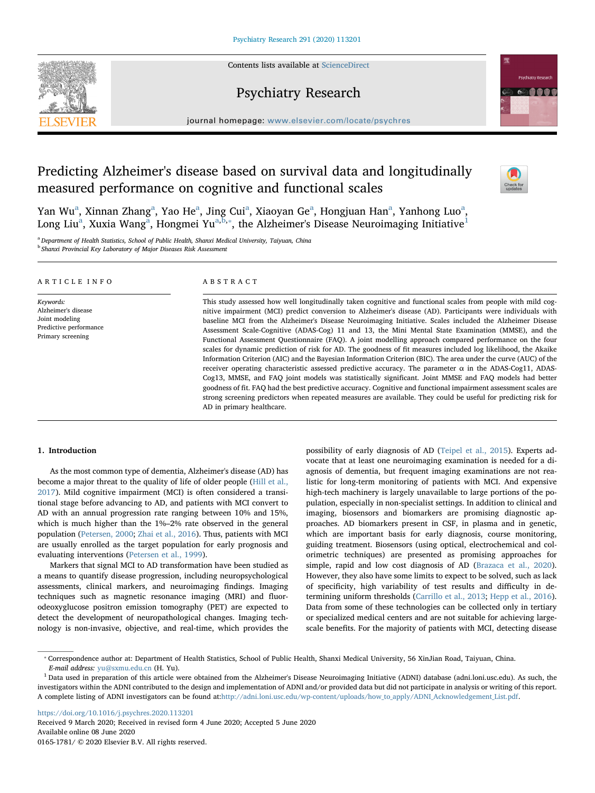Contents lists available at [ScienceDirect](http://www.sciencedirect.com/science/journal/01651781)







journal homepage: [www.elsevier.com/locate/psychres](https://www.elsevier.com/locate/psychres)

# Predicting Alzheimer's disease based on survival data and longitudinally measured performance on cognitive and functional scales



Y[a](#page-0-0)n Wu<sup>a</sup>, Xinnan Zhang<sup>a</sup>, Yao He<sup>a</sup>, Jing Cui<sup>a</sup>, Xiaoyan Ge<sup>a</sup>, Hongjuan Han<sup>a</sup>, Yanhong Luo<sup>a</sup>, Long Liu $\rm{^a,~X}$  $\rm{^a,~X}$  $\rm{^a,~X}$ uxia Wang $\rm{^a,~H}$ ongmei Yu $\rm{^{a,b,*}}$  $\rm{^{a,b,*}}$  $\rm{^{a,b,*}}$ , the Alzheimer's Disease Neuroimaging Initiative $\rm{^1}$  $\rm{^1}$  $\rm{^1}$ 

<span id="page-0-1"></span><span id="page-0-0"></span><sup>a</sup> Department of Health Statistics, School of Public Health, Shanxi Medical University, Taiyuan, China **b Shanxi Provincial Key Laboratory of Major Diseases Risk Assessment** 

| ARTICLE INFO                                                                                      | ABSTRACT                                                                                                                                                                                                                                                                                                                                                                                                                                                                                                                                                                                                                                                                                                                                                                                                                                                                                                                                                                                                                                                                                                                                                                                                                                                                                   |
|---------------------------------------------------------------------------------------------------|--------------------------------------------------------------------------------------------------------------------------------------------------------------------------------------------------------------------------------------------------------------------------------------------------------------------------------------------------------------------------------------------------------------------------------------------------------------------------------------------------------------------------------------------------------------------------------------------------------------------------------------------------------------------------------------------------------------------------------------------------------------------------------------------------------------------------------------------------------------------------------------------------------------------------------------------------------------------------------------------------------------------------------------------------------------------------------------------------------------------------------------------------------------------------------------------------------------------------------------------------------------------------------------------|
| Keywords:<br>Alzheimer's disease<br>Joint modeling<br>Predictive performance<br>Primary screening | This study assessed how well longitudinally taken cognitive and functional scales from people with mild cog-<br>nitive impairment (MCI) predict conversion to Alzheimer's disease (AD). Participants were individuals with<br>baseline MCI from the Alzheimer's Disease Neuroimaging Initiative. Scales included the Alzheimer Disease<br>Assessment Scale-Cognitive (ADAS-Cog) 11 and 13, the Mini Mental State Examination (MMSE), and the<br>Functional Assessment Questionnaire (FAQ). A joint modelling approach compared performance on the four<br>scales for dynamic prediction of risk for AD. The goodness of fit measures included log likelihood, the Akaike<br>Information Criterion (AIC) and the Bayesian Information Criterion (BIC). The area under the curve (AUC) of the<br>receiver operating characteristic assessed predictive accuracy. The parameter $\alpha$ in the ADAS-Cog11, ADAS-<br>Cog13, MMSE, and FAQ joint models was statistically significant. Joint MMSE and FAQ models had better<br>goodness of fit. FAQ had the best predictive accuracy. Cognitive and functional impairment assessment scales are<br>strong screening predictors when repeated measures are available. They could be useful for predicting risk for<br>AD in primary healthcare. |

## 1. Introduction

As the most common type of dementia, Alzheimer's disease (AD) has become a major threat to the quality of life of older people [\(Hill et al.,](#page-5-0) [2017\)](#page-5-0). Mild cognitive impairment (MCI) is often considered a transitional stage before advancing to AD, and patients with MCI convert to AD with an annual progression rate ranging between 10% and 15%, which is much higher than the 1%–2% rate observed in the general population [\(Petersen, 2000;](#page-5-1) [Zhai et al., 2016](#page-5-2)). Thus, patients with MCI are usually enrolled as the target population for early prognosis and evaluating interventions [\(Petersen et al., 1999\)](#page-5-3).

Markers that signal MCI to AD transformation have been studied as a means to quantify disease progression, including neuropsychological assessments, clinical markers, and neuroimaging findings. Imaging techniques such as magnetic resonance imaging (MRI) and fluorodeoxyglucose positron emission tomography (PET) are expected to detect the development of neuropathological changes. Imaging technology is non-invasive, objective, and real-time, which provides the possibility of early diagnosis of AD [\(Teipel et al., 2015\)](#page-5-4). Experts advocate that at least one neuroimaging examination is needed for a diagnosis of dementia, but frequent imaging examinations are not realistic for long-term monitoring of patients with MCI. And expensive high-tech machinery is largely unavailable to large portions of the population, especially in non-specialist settings. In addition to clinical and imaging, biosensors and biomarkers are promising diagnostic approaches. AD biomarkers present in CSF, in plasma and in genetic, which are important basis for early diagnosis, course monitoring, guiding treatment. Biosensors (using optical, electrochemical and colorimetric techniques) are presented as promising approaches for simple, rapid and low cost diagnosis of AD [\(Brazaca et al., 2020](#page-5-5)). However, they also have some limits to expect to be solved, such as lack of specificity, high variability of test results and difficulty in determining uniform thresholds [\(Carrillo et al., 2013](#page-5-6); [Hepp et al., 2016](#page-5-7)). Data from some of these technologies can be collected only in tertiary or specialized medical centers and are not suitable for achieving largescale benefits. For the majority of patients with MCI, detecting disease

<https://doi.org/10.1016/j.psychres.2020.113201> Received 9 March 2020; Received in revised form 4 June 2020; Accepted 5 June 2020 Available online 08 June 2020

0165-1781/ © 2020 Elsevier B.V. All rights reserved.

<span id="page-0-2"></span><sup>⁎</sup> Correspondence author at: Department of Health Statistics, School of Public Health, Shanxi Medical University, 56 XinJian Road, Taiyuan, China. E-mail address: [yu@sxmu.edu.cn](mailto:yu@sxmu.edu.cn) (H. Yu).

<span id="page-0-3"></span><sup>&</sup>lt;sup>1</sup> Data used in preparation of this article were obtained from the Alzheimer's Disease Neuroimaging Initiative (ADNI) database (adni.loni.usc.edu). As such, the investigators within the ADNI contributed to the design and implementation of ADNI and/or provided data but did not participate in analysis or writing of this report. A complete listing of ADNI investigators can be found at:[http://adni.loni.usc.edu/wp-content/uploads/how\\_to\\_apply/ADNI\\_Acknowledgement\\_List.pdf](http://adni.loni.usc.edu/wp-content/uploads/how_to_apply/ADNI_Acknowledgement_List.pdf).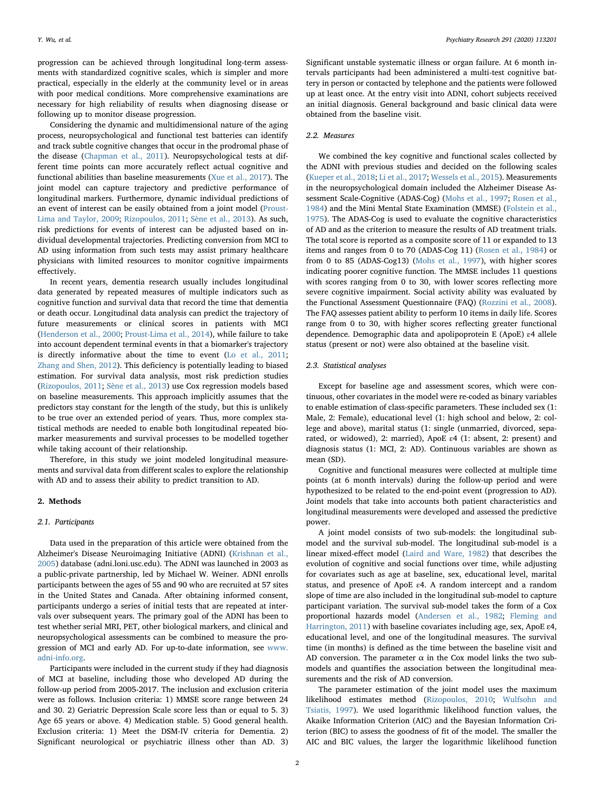progression can be achieved through longitudinal long-term assessments with standardized cognitive scales, which is simpler and more practical, especially in the elderly at the community level or in areas with poor medical conditions. More comprehensive examinations are necessary for high reliability of results when diagnosing disease or following up to monitor disease progression.

Considering the dynamic and multidimensional nature of the aging process, neuropsychological and functional test batteries can identify and track subtle cognitive changes that occur in the prodromal phase of the disease [\(Chapman et al., 2011](#page-5-8)). Neuropsychological tests at different time points can more accurately reflect actual cognitive and functional abilities than baseline measurements ([Xue et al., 2017\)](#page-5-9). The joint model can capture trajectory and predictive performance of longitudinal markers. Furthermore, dynamic individual predictions of an event of interest can be easily obtained from a joint model ([Proust-](#page-5-10)[Lima and Taylor, 2009](#page-5-10); [Rizopoulos, 2011](#page-5-11); [Sène et al., 2013](#page-5-12)). As such, risk predictions for events of interest can be adjusted based on individual developmental trajectories. Predicting conversion from MCI to AD using information from such tests may assist primary healthcare physicians with limited resources to monitor cognitive impairments effectively.

In recent years, dementia research usually includes longitudinal data generated by repeated measures of multiple indicators such as cognitive function and survival data that record the time that dementia or death occur. Longitudinal data analysis can predict the trajectory of future measurements or clinical scores in patients with MCI ([Henderson et al., 2000;](#page-5-13) [Proust-Lima et al., 2014\)](#page-5-14), while failure to take into account dependent terminal events in that a biomarker's trajectory is directly informative about the time to event [\(Lo et al., 2011](#page-5-15); [Zhang and Shen, 2012](#page-5-16)). This deficiency is potentially leading to biased estimation. For survival data analysis, most risk prediction studies ([Rizopoulos, 2011](#page-5-11); [Sène et al., 2013\)](#page-5-12) use Cox regression models based on baseline measurements. This approach implicitly assumes that the predictors stay constant for the length of the study, but this is unlikely to be true over an extended period of years. Thus, more complex statistical methods are needed to enable both longitudinal repeated biomarker measurements and survival processes to be modelled together while taking account of their relationship.

Therefore, in this study we joint modeled longitudinal measurements and survival data from different scales to explore the relationship with AD and to assess their ability to predict transition to AD.

#### 2. Methods

#### 2.1. Participants

Data used in the preparation of this article were obtained from the Alzheimer's Disease Neuroimaging Initiative (ADNI) ([Krishnan et al.,](#page-5-17) [2005\)](#page-5-17) database (adni.loni.usc.edu). The ADNI was launched in 2003 as a public-private partnership, led by Michael W. Weiner. ADNI enrolls participants between the ages of 55 and 90 who are recruited at 57 sites in the United States and Canada. After obtaining informed consent, participants undergo a series of initial tests that are repeated at intervals over subsequent years. The primary goal of the ADNI has been to test whether serial MRI, PET, other biological markers, and clinical and neuropsychological assessments can be combined to measure the progression of MCI and early AD. For up-to-date information, see [www.](http://www.adni-info.org) [adni-info.org](http://www.adni-info.org).

Participants were included in the current study if they had diagnosis of MCI at baseline, including those who developed AD during the follow-up period from 2005-2017. The inclusion and exclusion criteria were as follows. Inclusion criteria: 1) MMSE score range between 24 and 30. 2) Geriatric Depression Scale score less than or equal to 5. 3) Age 65 years or above. 4) Medication stable. 5) Good general health. Exclusion criteria: 1) Meet the DSM-IV criteria for Dementia. 2) Significant neurological or psychiatric illness other than AD. 3) Significant unstable systematic illness or organ failure. At 6 month intervals participants had been administered a multi-test cognitive battery in person or contacted by telephone and the patients were followed up at least once. At the entry visit into ADNI, cohort subjects received an initial diagnosis. General background and basic clinical data were obtained from the baseline visit.

### 2.2. Measures

We combined the key cognitive and functional scales collected by the ADNI with previous studies and decided on the following scales ([Kueper et al., 2018;](#page-5-18) [Li et al., 2017;](#page-5-19) [Wessels et al., 2015\)](#page-5-20). Measurements in the neuropsychological domain included the Alzheimer Disease Assessment Scale-Cognitive (ADAS-Cog) ([Mohs et al., 1997;](#page-5-21) [Rosen et al.,](#page-5-22) [1984\)](#page-5-22) and the Mini Mental State Examination (MMSE) [\(Folstein et al.,](#page-5-23) [1975\)](#page-5-23). The ADAS-Cog is used to evaluate the cognitive characteristics of AD and as the criterion to measure the results of AD treatment trials. The total score is reported as a composite score of 11 or expanded to 13 items and ranges from 0 to 70 (ADAS-Cog 11) [\(Rosen et al., 1984](#page-5-22)) or from 0 to 85 (ADAS-Cog13) [\(Mohs et al., 1997\)](#page-5-21), with higher scores indicating poorer cognitive function. The MMSE includes 11 questions with scores ranging from 0 to 30, with lower scores reflecting more severe cognitive impairment. Social activity ability was evaluated by the Functional Assessment Questionnaire (FAQ) ([Rozzini et al., 2008](#page-5-24)). The FAQ assesses patient ability to perform 10 items in daily life. Scores range from 0 to 30, with higher scores reflecting greater functional dependence. Demographic data and apolipoprotein E (ApoE) ε4 allele status (present or not) were also obtained at the baseline visit.

#### 2.3. Statistical analyses

Except for baseline age and assessment scores, which were continuous, other covariates in the model were re-coded as binary variables to enable estimation of class-specific parameters. These included sex (1: Male, 2: Female), educational level (1: high school and below, 2: college and above), marital status (1: single (unmarried, divorced, separated, or widowed), 2: married), ApoE ε4 (1: absent, 2: present) and diagnosis status (1: MCI, 2: AD). Continuous variables are shown as mean (SD).

Cognitive and functional measures were collected at multiple time points (at 6 month intervals) during the follow-up period and were hypothesized to be related to the end-point event (progression to AD). Joint models that take into accounts both patient characteristics and longitudinal measurements were developed and assessed the predictive power.

A joint model consists of two sub-models: the longitudinal submodel and the survival sub-model. The longitudinal sub-model is a linear mixed-effect model [\(Laird and Ware, 1982\)](#page-5-25) that describes the evolution of cognitive and social functions over time, while adjusting for covariates such as age at baseline, sex, educational level, marital status, and presence of ApoE ε4. A random intercept and a random slope of time are also included in the longitudinal sub-model to capture participant variation. The survival sub-model takes the form of a Cox proportional hazards model ([Andersen et al., 1982](#page-5-26); [Fleming and](#page-5-27) [Harrington, 2011\)](#page-5-27) with baseline covariates including age, sex, ApoE ɛ4, educational level, and one of the longitudinal measures. The survival time (in months) is defined as the time between the baseline visit and AD conversion. The parameter  $\alpha$  in the Cox model links the two submodels and quantifies the association between the longitudinal measurements and the risk of AD conversion.

The parameter estimation of the joint model uses the maximum likelihood estimates method [\(Rizopoulos, 2010;](#page-5-28) [Wulfsohn and](#page-5-29) [Tsiatis,](#page-5-29) 1997). We used logarithmic likelihood function values, the Akaike Information Criterion (AIC) and the Bayesian Information Criterion (BIC) to assess the goodness of fit of the model. The smaller the AIC and BIC values, the larger the logarithmic likelihood function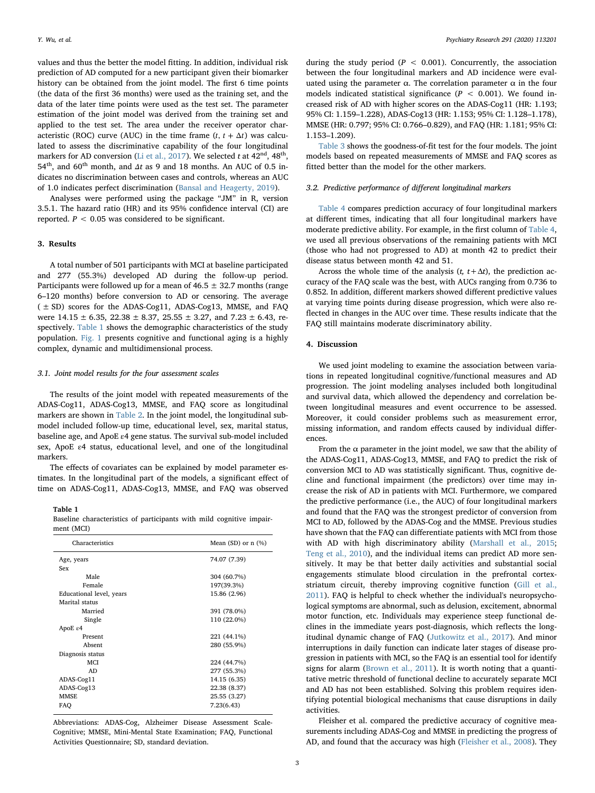values and thus the better the model fitting. In addition, individual risk prediction of AD computed for a new participant given their biomarker history can be obtained from the joint model. The first 6 time points (the data of the first 36 months) were used as the training set, and the data of the later time points were used as the test set. The parameter estimation of the joint model was derived from the training set and applied to the test set. The area under the receiver operator characteristic (ROC) curve (AUC) in the time frame  $(t, t + \Delta t)$  was calculated to assess the discriminative capability of the four longitudinal markers for AD conversion [\(Li et al., 2017](#page-5-19)). We selected t at  $42<sup>nd</sup>$ ,  $48<sup>th</sup>$ ,  $54<sup>th</sup>$ , and  $60<sup>th</sup>$  month, and  $\Delta t$  as 9 and 18 months. An AUC of 0.5 indicates no discrimination between cases and controls, whereas an AUC of 1.0 indicates perfect discrimination ([Bansal and Heagerty, 2019](#page-5-30)).

Analyses were performed using the package "JM" in R, version 3.5.1. The hazard ratio (HR) and its 95% confidence interval (CI) are reported.  $P < 0.05$  was considered to be significant.

#### 3. Results

A total number of 501 participants with MCI at baseline participated and 277 (55.3%) developed AD during the follow-up period. Participants were followed up for a mean of  $46.5 \pm 32.7$  months (range 6–120 months) before conversion to AD or censoring. The average  $(± SD)$  scores for the ADAS-Cog11, ADAS-Cog13, MMSE, and FAQ were  $14.15 \pm 6.35$ ,  $22.38 \pm 8.37$ ,  $25.55 \pm 3.27$ , and  $7.23 \pm 6.43$ , respectively. [Table 1](#page-2-0) shows the demographic characteristics of the study population. [Fig. 1](#page-3-0) presents cognitive and functional aging is a highly complex, dynamic and multidimensional process.

### 3.1. Joint model results for the four assessment scales

The results of the joint model with repeated measurements of the ADAS-Cog11, ADAS-Cog13, MMSE, and FAQ score as longitudinal markers are shown in [Table 2.](#page-3-1) In the joint model, the longitudinal submodel included follow-up time, educational level, sex, marital status, baseline age, and ApoE ε4 gene status. The survival sub-model included sex, ApoE ε4 status, educational level, and one of the longitudinal markers.

The effects of covariates can be explained by model parameter estimates. In the longitudinal part of the models, a significant effect of time on ADAS-Cog11, ADAS-Cog13, MMSE, and FAQ was observed

### <span id="page-2-0"></span>Table 1

Baseline characteristics of participants with mild cognitive impairment (MCI)

| Characteristics          | Mean $(SD)$ or n $(\%)$ |  |  |  |
|--------------------------|-------------------------|--|--|--|
| Age, years               | 74.07 (7.39)            |  |  |  |
| Sex                      |                         |  |  |  |
| Male                     | 304 (60.7%)             |  |  |  |
| Female                   | 197(39.3%)              |  |  |  |
| Educational level, years | 15.86 (2.96)            |  |  |  |
| Marital status           |                         |  |  |  |
| Married                  | 391 (78.0%)             |  |  |  |
| Single                   | 110 (22.0%)             |  |  |  |
| ApoE ε4                  |                         |  |  |  |
| Present                  | 221 (44.1%)             |  |  |  |
| Absent                   | 280 (55.9%)             |  |  |  |
| Diagnosis status         |                         |  |  |  |
| <b>MCI</b>               | 224 (44.7%)             |  |  |  |
| AD                       | 277 (55.3%)             |  |  |  |
| ADAS-Cog11               | 14.15 (6.35)            |  |  |  |
| ADAS-Cog13               | 22.38 (8.37)            |  |  |  |
| <b>MMSE</b>              | 25.55 (3.27)            |  |  |  |
| FAO                      | 7.23(6.43)              |  |  |  |
|                          |                         |  |  |  |

Abbreviations: ADAS-Cog, Alzheimer Disease Assessment Scale-Cognitive; MMSE, Mini-Mental State Examination; FAQ, Functional Activities Questionnaire; SD, standard deviation.

during the study period ( $P < 0.001$ ). Concurrently, the association between the four longitudinal markers and AD incidence were evaluated using the parameter  $α$ . The correlation parameter  $α$  in the four models indicated statistical significance ( $P < 0.001$ ). We found increased risk of AD with higher scores on the ADAS-Cog11 (HR: 1.193; 95% CI: 1.159–1.228), ADAS-Cog13 (HR: 1.153; 95% CI: 1.128–1.178), MMSE (HR: 0.797; 95% CI: 0.766–0.829), and FAQ (HR: 1.181; 95% CI: 1.153–1.209).

[Table 3](#page-4-0) shows the goodness-of-fit test for the four models. The joint models based on repeated measurements of MMSE and FAQ scores as fitted better than the model for the other markers.

### 3.2. Predictive performance of different longitudinal markers

[Table 4](#page-4-1) compares prediction accuracy of four longitudinal markers at different times, indicating that all four longitudinal markers have moderate predictive ability. For example, in the first column of [Table 4](#page-4-1), we used all previous observations of the remaining patients with MCI (those who had not progressed to AD) at month 42 to predict their disease status between month 42 and 51.

Across the whole time of the analysis ( $t$ ,  $t + \Delta t$ ), the prediction accuracy of the FAQ scale was the best, with AUCs ranging from 0.736 to 0.852. In addition, different markers showed different predictive values at varying time points during disease progression, which were also reflected in changes in the AUC over time. These results indicate that the FAQ still maintains moderate discriminatory ability.

## 4. Discussion

We used joint modeling to examine the association between variations in repeated longitudinal cognitive/functional measures and AD progression. The joint modeling analyses included both longitudinal and survival data, which allowed the dependency and correlation between longitudinal measures and event occurrence to be assessed. Moreover, it could consider problems such as measurement error, missing information, and random effects caused by individual differences.

From the  $\alpha$  parameter in the joint model, we saw that the ability of the ADAS-Cog11, ADAS-Cog13, MMSE, and FAQ to predict the risk of conversion MCI to AD was statistically significant. Thus, cognitive decline and functional impairment (the predictors) over time may increase the risk of AD in patients with MCI. Furthermore, we compared the predictive performance (i.e., the AUC) of four longitudinal markers and found that the FAQ was the strongest predictor of conversion from MCI to AD, followed by the ADAS-Cog and the MMSE. Previous studies have shown that the FAQ can differentiate patients with MCI from those with AD with high discriminatory ability ([Marshall et al., 2015](#page-5-31); [Teng et al., 2010\)](#page-5-32), and the individual items can predict AD more sensitively. It may be that better daily activities and substantial social engagements stimulate blood circulation in the prefrontal cortexstriatum circuit, thereby improving cognitive function ([Gill et al.,](#page-5-33) [2011\)](#page-5-33). FAQ is helpful to check whether the individual's neuropsychological symptoms are abnormal, such as delusion, excitement, abnormal motor function, etc. Individuals may experience steep functional declines in the immediate years post-diagnosis, which reflects the longitudinal dynamic change of FAQ ([Jutkowitz et al., 2017\)](#page-5-34). And minor interruptions in daily function can indicate later stages of disease progression in patients with MCI, so the FAQ is an essential tool for identify signs for alarm [\(Brown et al., 2011\)](#page-5-35). It is worth noting that a quantitative metric threshold of functional decline to accurately separate MCI and AD has not been established. Solving this problem requires identifying potential biological mechanisms that cause disruptions in daily activities.

Fleisher et al. compared the predictive accuracy of cognitive measurements including ADAS-Cog and MMSE in predicting the progress of AD, and found that the accuracy was high ([Fleisher et al., 2008](#page-5-36)). They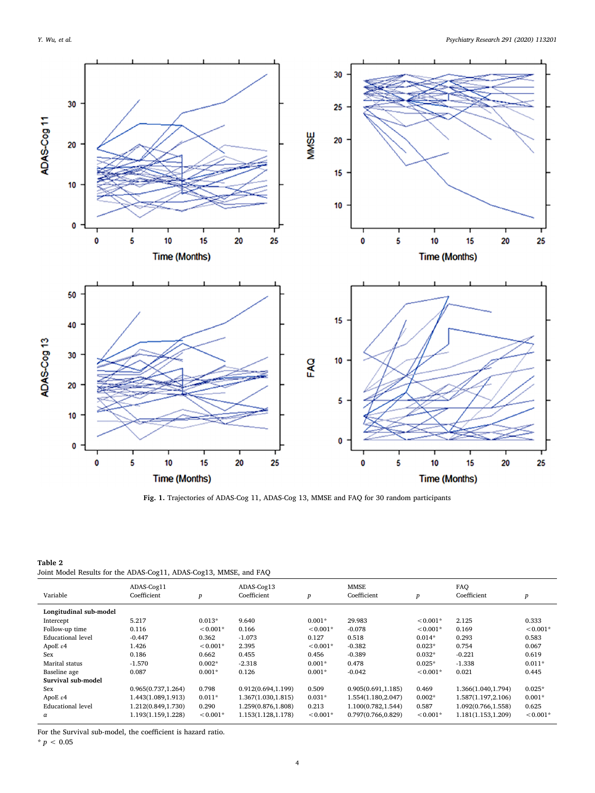<span id="page-3-0"></span>

Fig. 1. Trajectories of ADAS-Cog 11, ADAS-Cog 13, MMSE and FAQ for 30 random participants

<span id="page-3-1"></span>Table 2 Joint Model Results for the ADAS-Cog11, ADAS-Cog13, MMSE, and FAQ

| Variable                 | ADAS-Cog11<br>Coefficient | $\boldsymbol{p}$ | ADAS-Cog13<br>Coefficient | p          | <b>MMSE</b><br>Coefficient | $\boldsymbol{p}$ | FAO<br>Coefficient | p          |
|--------------------------|---------------------------|------------------|---------------------------|------------|----------------------------|------------------|--------------------|------------|
| Longitudinal sub-model   |                           |                  |                           |            |                            |                  |                    |            |
| Intercept                | 5.217                     | $0.013*$         | 9.640                     | $0.001*$   | 29.983                     | $< 0.001*$       | 2.125              | 0.333      |
| Follow-up time           | 0.116                     | $< 0.001*$       | 0.166                     | $< 0.001*$ | $-0.078$                   | $< 0.001*$       | 0.169              | $< 0.001*$ |
| <b>Educational level</b> | $-0.447$                  | 0.362            | $-1.073$                  | 0.127      | 0.518                      | $0.014*$         | 0.293              | 0.583      |
| ApoE $\varepsilon$ 4     | 1.426                     | $< 0.001*$       | 2.395                     | $< 0.001*$ | $-0.382$                   | $0.023*$         | 0.754              | 0.067      |
| Sex                      | 0.186                     | 0.662            | 0.455                     | 0.456      | $-0.389$                   | $0.032*$         | $-0.221$           | 0.619      |
| Marital status           | $-1.570$                  | $0.002*$         | $-2.318$                  | $0.001*$   | 0.478                      | $0.025*$         | $-1.338$           | $0.011*$   |
| Baseline age             | 0.087                     | $0.001*$         | 0.126                     | $0.001*$   | $-0.042$                   | $< 0.001*$       | 0.021              | 0.445      |
| Survival sub-model       |                           |                  |                           |            |                            |                  |                    |            |
| Sex                      | 0.965(0.737, 1.264)       | 0.798            | 0.912(0.694,1.199)        | 0.509      | 0.905(0.691, 1.185)        | 0.469            | 1.366(1.040,1.794) | $0.025*$   |
| ApoE $\varepsilon$ 4     | 1.443(1.089,1.913)        | $0.011*$         | 1.367(1.030, 1.815)       | $0.031*$   | 1.554(1.180,2.047)         | $0.002*$         | 1.587(1.197,2.106) | $0.001*$   |
| <b>Educational level</b> | 1.212(0.849,1.730)        | 0.290            | 1.259(0.876,1.808)        | 0.213      | 1.100(0.782,1.544)         | 0.587            | 1.092(0.766,1.558) | 0.625      |
| $\alpha$                 | 1.193(1.159,1.228)        | $< 0.001*$       | 1.153(1.128,1.178)        | $< 0.001*$ | 0.797(0.766,0.829)         | $< 0.001*$       | 1.181(1.153,1.209) | $< 0.001*$ |

For the Survival sub-model, the coefficient is hazard ratio.

 $* p < 0.05$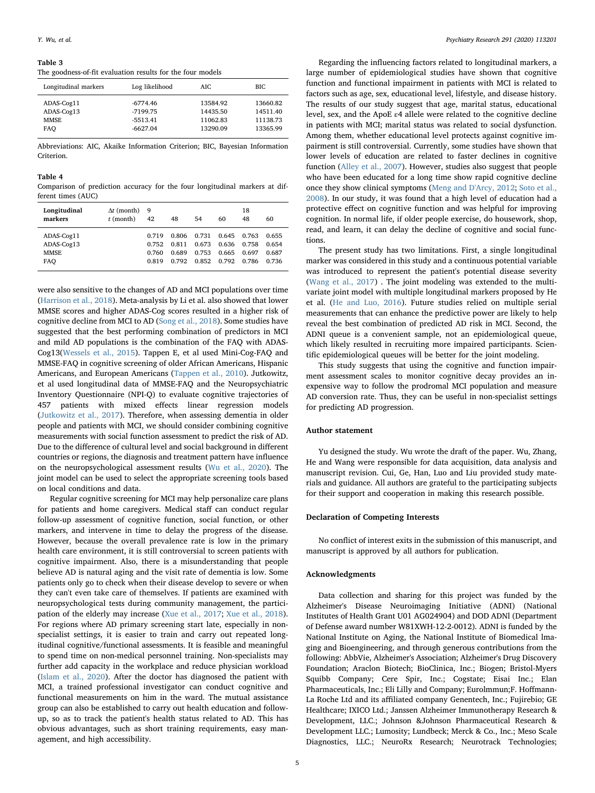#### <span id="page-4-0"></span>Table 3

The goodness-of-fit evaluation results for the four models

| Longitudinal markers | Log likelihood | AIC.     | BIC      |
|----------------------|----------------|----------|----------|
| ADAS-Cog11           | $-6774.46$     | 13584.92 | 13660.82 |
| ADAS-Cog13           | $-7199.75$     | 14435.50 | 14511.40 |
| <b>MMSE</b>          | $-5513.41$     | 11062.83 | 11138.73 |
| FAO                  | $-6627.04$     | 13290.09 | 13365.99 |

Abbreviations: AIC, Akaike Information Criterion; BIC, Bayesian Information Criterion.

#### <span id="page-4-1"></span>Table 4

Comparison of prediction accuracy for the four longitudinal markers at different times (AUC)

| Longitudinal<br>markers | $\Delta t$ (month)<br>$t$ (month) | 9<br>42 | 48    | 54    | 60    | 18<br>48 | 60    |
|-------------------------|-----------------------------------|---------|-------|-------|-------|----------|-------|
| ADAS-Cog11              |                                   | 0.719   | 0.806 | 0.731 | 0.645 | 0.763    | 0.655 |
| ADAS-Cog13              |                                   | 0.752   | 0.811 | 0.673 | 0.636 | 0.758    | 0.654 |
| <b>MMSE</b>             |                                   | 0.760   | 0.689 | 0.753 | 0.665 | 0.697    | 0.687 |
| FAO                     |                                   | 0.819   | 0.792 | 0.852 | 0.792 | 0.786    | 0.736 |

were also sensitive to the changes of AD and MCI populations over time ([Harrison et al., 2018\)](#page-5-37). Meta-analysis by Li et al. also showed that lower MMSE scores and higher ADAS-Cog scores resulted in a higher risk of cognitive decline from MCI to AD [\(Song et al., 2018](#page-5-38)). Some studies have suggested that the best performing combination of predictors in MCI and mild AD populations is the combination of the FAQ with ADAS-Cog13[\(Wessels et al., 2015](#page-5-20)). Tappen E, et al used Mini-Cog-FAQ and MMSE-FAQ in cognitive screening of older African Americans, Hispanic Americans, and European Americans [\(Tappen et al., 2010\)](#page-5-39). Jutkowitz, et al used longitudinal data of MMSE-FAQ and the Neuropsychiatric Inventory Questionnaire (NPI-Q) to evaluate cognitive trajectories of 457 patients with mixed effects linear regression models ([Jutkowitz et al., 2017\)](#page-5-34). Therefore, when assessing dementia in older people and patients with MCI, we should consider combining cognitive measurements with social function assessment to predict the risk of AD. Due to the difference of cultural level and social background in different countries or regions, the diagnosis and treatment pattern have influence on the neuropsychological assessment results [\(Wu et al., 2020\)](#page-5-40). The joint model can be used to select the appropriate screening tools based on local conditions and data.

Regular cognitive screening for MCI may help personalize care plans for patients and home caregivers. Medical staff can conduct regular follow-up assessment of cognitive function, social function, or other markers, and intervene in time to delay the progress of the disease. However, because the overall prevalence rate is low in the primary health care environment, it is still controversial to screen patients with cognitive impairment. Also, there is a misunderstanding that people believe AD is natural aging and the visit rate of dementia is low. Some patients only go to check when their disease develop to severe or when they can't even take care of themselves. If patients are examined with neuropsychological tests during community management, the participation of the elderly may increase [\(Xue et al., 2017;](#page-5-9) [Xue et al., 2018](#page-5-41)). For regions where AD primary screening start late, especially in nonspecialist settings, it is easier to train and carry out repeated longitudinal cognitive/functional assessments. It is feasible and meaningful to spend time on non-medical personnel training. Non-specialists may further add capacity in the workplace and reduce physician workload ([Islam et al., 2020](#page-5-42)). After the doctor has diagnosed the patient with MCI, a trained professional investigator can conduct cognitive and functional measurements on him in the ward. The mutual assistance group can also be established to carry out health education and followup, so as to track the patient's health status related to AD. This has obvious advantages, such as short training requirements, easy management, and high accessibility.

Regarding the influencing factors related to longitudinal markers, a large number of epidemiological studies have shown that cognitive function and functional impairment in patients with MCI is related to factors such as age, sex, educational level, lifestyle, and disease history. The results of our study suggest that age, marital status, educational level, sex, and the ApoE ε4 allele were related to the cognitive decline in patients with MCI; marital status was related to social dysfunction. Among them, whether educational level protects against cognitive impairment is still controversial. Currently, some studies have shown that lower levels of education are related to faster declines in cognitive function [\(Alley et al., 2007](#page-5-43)). However, studies also suggest that people who have been educated for a long time show rapid cognitive decline once they show clinical symptoms [\(Meng and D'Arcy, 2012;](#page-5-44) [Soto et al.,](#page-5-45) [2008\)](#page-5-45). In our study, it was found that a high level of education had a protective effect on cognitive function and was helpful for improving cognition. In normal life, if older people exercise, do housework, shop, read, and learn, it can delay the decline of cognitive and social functions.

The present study has two limitations. First, a single longitudinal marker was considered in this study and a continuous potential variable was introduced to represent the patient's potential disease severity ([Wang et al., 2017](#page-5-46)) . The joint modeling was extended to the multivariate joint model with multiple longitudinal markers proposed by He et al. [\(He and Luo, 2016](#page-5-47)). Future studies relied on multiple serial measurements that can enhance the predictive power are likely to help reveal the best combination of predicted AD risk in MCI. Second, the ADNI queue is a convenient sample, not an epidemiological queue, which likely resulted in recruiting more impaired participants. Scientific epidemiological queues will be better for the joint modeling.

This study suggests that using the cognitive and function impairment assessment scales to monitor cognitive decay provides an inexpensive way to follow the prodromal MCI population and measure AD conversion rate. Thus, they can be useful in non-specialist settings for predicting AD progression.

## Author statement

Yu designed the study. Wu wrote the draft of the paper. Wu, Zhang, He and Wang were responsible for data acquisition, data analysis and manuscript revision. Cui, Ge, Han, Luo and Liu provided study materials and guidance. All authors are grateful to the participating subjects for their support and cooperation in making this research possible.

#### Declaration of Competing Interests

No conflict of interest exits in the submission of this manuscript, and manuscript is approved by all authors for publication.

#### Acknowledgments

Data collection and sharing for this project was funded by the Alzheimer's Disease Neuroimaging Initiative (ADNI) (National Institutes of Health Grant U01 AG024904) and DOD ADNl (Department of Defense award number W81XWH-12-2-0012). ADNI is funded by the National Institute on Aging, the National Institute of Biomedical lmaging and Bioengineering, and through generous contributions from the following: AbbVie, Alzheimer's Association; Alzheimer's Drug Discovery Foundation; Araclon Biotech; BioClinica, Inc.; Biogen; Bristol-Myers Squibb Company; Cere Spir, Inc.; Cogstate; Eisai Inc.; Elan Pharmaceuticals, Inc.; Eli Lilly and Company; Eurolmmun;F. Hoffmann-La Roche Ltd and its affiliated company Genentech, Inc.; Fujirebio; GE Healthcare; IXICO Ltd.; Janssen Alzheimer Immunotherapy Research & Development, LLC.; Johnson &Johnson Pharmaceutical Research & Development LLC.; Lumosity; Lundbeck; Merck & Co., Inc.; Meso Scale Diagnostics, LLC.; NeuroRx Research; Neurotrack Technologies;